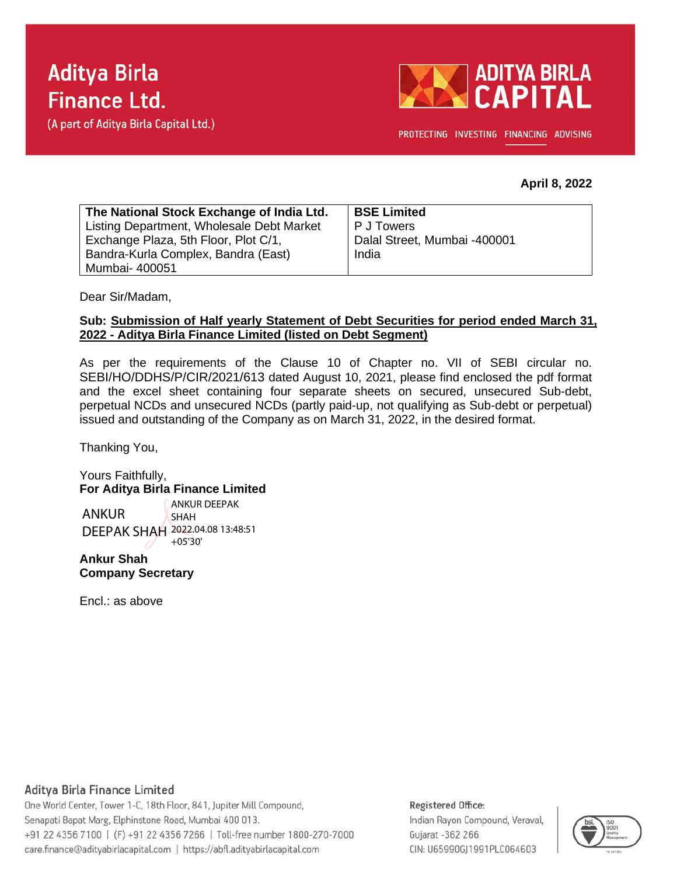



PROTECTING INVESTING FINANCING ADVISING

## **April 8, 2022**

| The National Stock Exchange of India Ltd. | <b>BSE Limited</b>           |
|-------------------------------------------|------------------------------|
| Listing Department, Wholesale Debt Market | P J Towers                   |
| Exchange Plaza, 5th Floor, Plot C/1,      | Dalal Street, Mumbai -400001 |
| Bandra-Kurla Complex, Bandra (East)       | India                        |
| Mumbai- 400051                            |                              |

Dear Sir/Madam,

### **Sub: Submission of Half yearly Statement of Debt Securities for period ended March 31, 2022 - Aditya Birla Finance Limited (listed on Debt Segment)**

As per the requirements of the Clause 10 of Chapter no. VII of SEBI circular no. SEBI/HO/DDHS/P/CIR/2021/613 dated August 10, 2021, please find enclosed the pdf format and the excel sheet containing four separate sheets on secured, unsecured Sub-debt, perpetual NCDs and unsecured NCDs (partly paid-up, not qualifying as Sub-debt or perpetual) issued and outstanding of the Company as on March 31, 2022, in the desired format.

Thanking You,

Yours Faithfully, **For Aditya Birla Finance Limited**

ANKUR DEEPAK SHAH 2022.04.08 13:48:51 ANKUR DEEPAK SHAH  $+05'30'$ 

**Ankur Shah Company Secretary**

Encl.: as above

## Aditya Birla Finance Limited

One World Center, Tower 1-C, 18th Floor, 841, Jupiter Mill Compound, Senapati Bapat Marg, Elphinstone Road, Mumbai 400 013. +91 22 4356 7100 | (F) +91 22 4356 7266 | Toll-free number 1800-270-7000 care.finance@adityabirlacapital.com | https://abfl.adityabirlacapital.com

### Registered Office:

Indian Rayon Compound, Veraval, Gujarat - 362 266 CIN: U65990GJ1991PLC064603

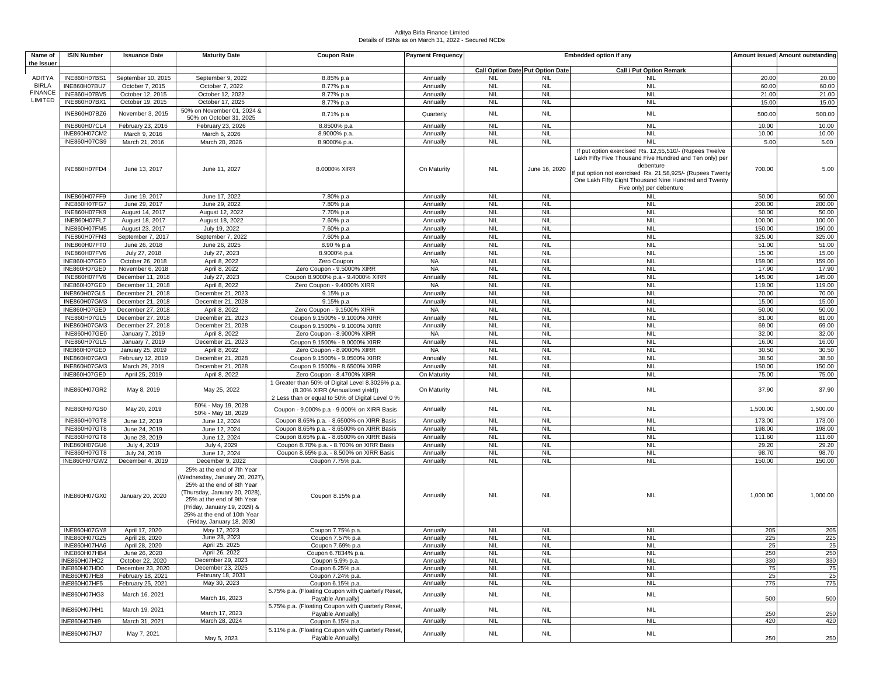#### Aditya Birla Finance Limited Details of ISINs as on March 31, 2022 - Secured NCDs

| Name of        | <b>ISIN Number</b>                  | <b>Issuance Date</b>                   | <b>Maturity Date</b>                                                                                                                                                                                                                                 | <b>Coupon Rate</b>                                                                    | <b>Payment Frequency</b> | <b>Embedded option if any</b>           |                          |                                                                                                                                                                                                                                                                                  | Amount issued Amount outstanding |                  |
|----------------|-------------------------------------|----------------------------------------|------------------------------------------------------------------------------------------------------------------------------------------------------------------------------------------------------------------------------------------------------|---------------------------------------------------------------------------------------|--------------------------|-----------------------------------------|--------------------------|----------------------------------------------------------------------------------------------------------------------------------------------------------------------------------------------------------------------------------------------------------------------------------|----------------------------------|------------------|
| the Issuer     |                                     |                                        |                                                                                                                                                                                                                                                      |                                                                                       |                          | <b>Call Option Date Put Option Date</b> |                          | Call / Put Option Remark                                                                                                                                                                                                                                                         |                                  |                  |
| <b>ADITYA</b>  | INE860H07BS1                        | September 10, 2015                     | September 9, 2022                                                                                                                                                                                                                                    | 8.85% p.a                                                                             | Annually                 | <b>NIL</b>                              | <b>NIL</b>               | <b>NIL</b>                                                                                                                                                                                                                                                                       | 20.00                            | 20.00            |
| <b>BIRLA</b>   | INE860H07BU7                        | October 7, 2015                        | October 7, 2022                                                                                                                                                                                                                                      | 8.77% p.a                                                                             | Annually                 | <b>NIL</b>                              | <b>NIL</b>               | <b>NIL</b>                                                                                                                                                                                                                                                                       | 60.00                            | 60.00            |
| <b>FINANCE</b> | INE860H07BV5                        | October 12, 2015                       | October 12, 2022                                                                                                                                                                                                                                     | 8.77% p.a                                                                             | Annually                 | <b>NIL</b>                              | <b>NIL</b>               | <b>NIL</b>                                                                                                                                                                                                                                                                       | 21.00                            | 21.00            |
| LIMITED        | INE860H07BX1                        | October 19, 2015                       | October 17, 2025                                                                                                                                                                                                                                     | 8.77% p.a                                                                             | Annually                 | <b>NIL</b>                              | <b>NIL</b>               | <b>NIL</b>                                                                                                                                                                                                                                                                       | 15.00                            | 15.00            |
|                | INE860H07BZ6                        | November 3, 2015                       | 50% on November 01, 2024 &<br>50% on October 31, 2025                                                                                                                                                                                                | 8.71% p.a                                                                             | Quarterly                | <b>NIL</b>                              | <b>NIL</b>               | <b>NIL</b>                                                                                                                                                                                                                                                                       | 500.00                           | 500.00           |
|                | INE860H07CL4                        | February 23, 2016                      | February 23, 2026                                                                                                                                                                                                                                    | 8.8500% p.a                                                                           | Annually                 | <b>NIL</b>                              | <b>NIL</b>               | <b>NIL</b>                                                                                                                                                                                                                                                                       | 10.00                            | 10.00            |
|                | INE860H07CM2                        | March 9, 2016                          | March 6, 2026                                                                                                                                                                                                                                        | 8.9000% p.a                                                                           | Annually                 | <b>NIL</b>                              | <b>NIL</b>               | <b>NIL</b>                                                                                                                                                                                                                                                                       | 10.00                            | 10.00            |
|                | INE860H07CS9                        | March 21, 2016                         | March 20, 2026                                                                                                                                                                                                                                       | 8.9000% p.a.                                                                          | Annually                 | <b>NIL</b>                              | <b>NIL</b>               | <b>NIL</b>                                                                                                                                                                                                                                                                       | 5.00                             | 5.00             |
|                | INE860H07FD4                        | June 13, 2017                          | June 11, 2027                                                                                                                                                                                                                                        | 8.0000% XIRR                                                                          | On Maturity              | <b>NIL</b>                              | June 16, 2020            | If put option exercised Rs. 12,55,510/- (Rupees Twelve<br>Lakh Fifty Five Thousand Five Hundred and Ten only) per<br>debenture<br>f put option not exercised Rs. 21,58,925/- (Rupees Twenty<br>One Lakh Fifty Eight Thousand Nine Hundred and Twenty<br>Five only) per debenture | 700.00                           | 5.00             |
|                | INE860H07FF9                        | June 19, 2017                          | June 17, 2022                                                                                                                                                                                                                                        | 7.80% p.a                                                                             | Annually                 | <b>NIL</b>                              | <b>NIL</b>               | <b>NIL</b>                                                                                                                                                                                                                                                                       | 50.00                            | 50.00            |
|                | INE860H07FG7                        | June 29, 2017                          | June 29, 2022                                                                                                                                                                                                                                        | 7.80% p.a                                                                             | Annually                 | <b>NIL</b>                              | <b>NIL</b>               | <b>NIL</b>                                                                                                                                                                                                                                                                       | 200.00                           | 200.00           |
|                | INE860H07FK9                        | August 14, 2017                        | August 12, 2022                                                                                                                                                                                                                                      | 7.70% p.a                                                                             | Annually                 | <b>NIL</b>                              | <b>NIL</b>               | <b>NIL</b>                                                                                                                                                                                                                                                                       | 50.00                            | 50.00            |
|                | INE860H07FL7                        | August 18, 2017                        | August 18, 2022                                                                                                                                                                                                                                      | 7.60% p.a                                                                             | Annually                 | <b>NIL</b>                              | <b>NIL</b>               | <b>NIL</b>                                                                                                                                                                                                                                                                       | 100.00                           | 100.00           |
|                | INE860H07FM5<br>INE860H07FN3        | August 23, 2017<br>September 7, 2017   | July 19, 2022<br>September 7, 2022                                                                                                                                                                                                                   | 7.60% p.a<br>7.60% p.a                                                                | Annually<br>Annually     | <b>NIL</b><br><b>NIL</b>                | <b>NIL</b><br><b>NIL</b> | <b>NIL</b><br><b>NIL</b>                                                                                                                                                                                                                                                         | 150.00<br>325.00                 | 150.00<br>325.00 |
|                | INE860H07FT0                        | June 26, 2018                          | June 26, 2025                                                                                                                                                                                                                                        | 8.90 % p.a                                                                            | Annually                 | <b>NIL</b>                              | <b>NIL</b>               | <b>NIL</b>                                                                                                                                                                                                                                                                       | 51.00                            | 51.00            |
|                | INE860H07FV6                        | July 27, 2018                          | July 27, 2023                                                                                                                                                                                                                                        | 8.9000% p.a                                                                           | Annually                 | <b>NIL</b>                              | <b>NIL</b>               | <b>NIL</b>                                                                                                                                                                                                                                                                       | 15.00                            | 15.00            |
|                | INE860H07GE0                        | October 26, 2018                       | April 8, 2022                                                                                                                                                                                                                                        | Zero Coupon                                                                           | <b>NA</b>                | <b>NIL</b>                              | <b>NIL</b>               | <b>NIL</b>                                                                                                                                                                                                                                                                       | 159.00                           | 159.00           |
|                | INE860H07GE0                        | November 6, 2018                       | April 8, 2022                                                                                                                                                                                                                                        | Zero Coupon - 9.5000% XIRR                                                            | <b>NA</b>                | <b>NIL</b>                              | <b>NIL</b>               | <b>NIL</b>                                                                                                                                                                                                                                                                       | 17.90                            | 17.90            |
|                | INE860H07FV6                        | December 11, 2018                      | July 27, 2023                                                                                                                                                                                                                                        | Coupon 8.9000% p.a - 9.4000% XIRR                                                     | Annually                 | <b>NIL</b>                              | <b>NIL</b>               | <b>NIL</b>                                                                                                                                                                                                                                                                       | 145.00                           | 145.00           |
|                | INE860H07GE0                        | December 11, 2018                      | April 8, 2022                                                                                                                                                                                                                                        | Zero Coupon - 9.4000% XIRR                                                            | <b>NA</b>                | <b>NIL</b>                              | <b>NIL</b>               | <b>NIL</b>                                                                                                                                                                                                                                                                       | 119.00                           | 119.00           |
|                | INE860H07GL5                        | December 21, 2018                      | December 21, 2023                                                                                                                                                                                                                                    | 9.15% p.a                                                                             | Annually                 | <b>NIL</b>                              | <b>NIL</b>               | <b>NIL</b>                                                                                                                                                                                                                                                                       | 70.00                            | 70.00            |
|                | INE860H07GM3                        | December 21, 2018                      | December 21, 2028                                                                                                                                                                                                                                    | 9.15% p.a                                                                             | Annually                 | <b>NIL</b>                              | <b>NIL</b>               | <b>NIL</b>                                                                                                                                                                                                                                                                       | 15.00                            | 15.00            |
|                | INE860H07GE0<br>INE860H07GL5        | December 27, 2018<br>December 27, 2018 | April 8, 2022<br>December 21, 2023                                                                                                                                                                                                                   | Zero Coupon - 9.1500% XIRR<br>Coupon 9.1500% - 9.1000% XIRR                           | <b>NA</b><br>Annually    | <b>NIL</b><br><b>NIL</b>                | <b>NIL</b><br><b>NIL</b> | <b>NIL</b><br><b>NIL</b>                                                                                                                                                                                                                                                         | 50.00<br>81.00                   | 50.00<br>81.00   |
|                | INE860H07GM3                        | December 27, 2018                      | December 21, 2028                                                                                                                                                                                                                                    | Coupon 9.1500% - 9.1000% XIRR                                                         | Annually                 | <b>NIL</b>                              | <b>NIL</b>               | <b>NIL</b>                                                                                                                                                                                                                                                                       | 69.00                            | 69.00            |
|                | INE860H07GE0                        | January 7, 2019                        | April 8, 2022                                                                                                                                                                                                                                        | Zero Coupon - 8.9000% XIRR                                                            | <b>NA</b>                | <b>NIL</b>                              | <b>NIL</b>               | <b>NIL</b>                                                                                                                                                                                                                                                                       | 32.00                            | 32.00            |
|                | INE860H07GL5                        | January 7, 2019                        | December 21, 2023                                                                                                                                                                                                                                    | Coupon 9.1500% - 9.0000% XIRR                                                         | Annually                 | <b>NIL</b>                              | <b>NIL</b>               | <b>NIL</b>                                                                                                                                                                                                                                                                       | 16.00                            | 16.00            |
|                | INE860H07GE0                        | January 25, 2019                       | April 8, 2022                                                                                                                                                                                                                                        | Zero Coupon - 8.9000% XIRR                                                            | <b>NA</b>                | <b>NIL</b>                              | <b>NIL</b>               | <b>NIL</b>                                                                                                                                                                                                                                                                       | 30.50                            | 30.50            |
|                | INE860H07GM3                        | February 12, 2019                      | December 21, 2028                                                                                                                                                                                                                                    | Coupon 9.1500% - 9.0500% XIRR                                                         | Annually                 | <b>NIL</b>                              | <b>NIL</b>               | <b>NIL</b>                                                                                                                                                                                                                                                                       | 38.50                            | 38.50            |
|                | INE860H07GM3                        | March 29, 2019                         | December 21, 2028                                                                                                                                                                                                                                    | Coupon 9.1500% - 8.6500% XIRR                                                         | Annually                 | <b>NIL</b>                              | <b>NIL</b>               | <b>NIL</b>                                                                                                                                                                                                                                                                       | 150.00                           | 150.00           |
|                | <b>INE860H07GE0</b>                 | April 25, 2019                         | April 8, 2022                                                                                                                                                                                                                                        | Zero Coupon - 8.4700% XIRR<br>1 Greater than 50% of Digital Level 8.3026% p.a.        | On Maturity              | <b>NIL</b>                              | <b>NIL</b>               | <b>NIL</b>                                                                                                                                                                                                                                                                       | 75.00                            | 75.00            |
|                | INE860H07GR2                        | May 8, 2019                            | May 25, 2022                                                                                                                                                                                                                                         | (8.30% XIRR (Annualized yield))<br>2 Less than or equal to 50% of Digital Level 0 %   | On Maturity              | <b>NIL</b>                              | <b>NIL</b>               | <b>NIL</b>                                                                                                                                                                                                                                                                       | 37.90                            | 37.90            |
|                | INE860H07GS0                        | May 20, 2019                           | 50% - May 19, 2028<br>50% - May 18, 2029                                                                                                                                                                                                             | Coupon - 9.000% p.a - 9.000% on XIRR Basis                                            | Annually                 | <b>NIL</b>                              | <b>NIL</b>               | <b>NIL</b>                                                                                                                                                                                                                                                                       | 1,500.00                         | 1,500.00         |
|                | INE860H07GT8                        | June 12, 2019                          | June 12, 2024                                                                                                                                                                                                                                        | Coupon 8.65% p.a. - 8.6500% on XIRR Basis                                             | Annually                 | <b>NIL</b>                              | <b>NIL</b>               | <b>NIL</b>                                                                                                                                                                                                                                                                       | 173.00                           | 173.00           |
|                | INE860H07GT8                        | June 24, 2019                          | June 12, 2024                                                                                                                                                                                                                                        | Coupon 8.65% p.a. - 8.6500% on XIRR Basis                                             | Annually                 | <b>NIL</b>                              | <b>NIL</b>               | <b>NIL</b>                                                                                                                                                                                                                                                                       | 198.00                           | 198.00           |
|                | INE860H07GT8                        | June 28, 2019                          | June 12, 2024                                                                                                                                                                                                                                        | Coupon 8.65% p.a. - 8.6500% on XIRR Basis<br>Coupon 8.70% p.a. - 8.700% on XIRR Basis | Annually<br>Annually     | <b>NIL</b><br><b>NIL</b>                | <b>NIL</b><br><b>NIL</b> | <b>NIL</b><br><b>NIL</b>                                                                                                                                                                                                                                                         | 111.60<br>29.20                  | 111.60<br>29.20  |
|                | <b>INE860H07GU6</b><br>INE860H07GT8 | July 4, 2019<br>July 24, 2019          | July 4, 2029<br>June 12, 2024                                                                                                                                                                                                                        | Coupon 8.65% p.a. - 8.500% on XIRR Basis                                              | Annually                 | <b>NIL</b>                              | <b>NIL</b>               | <b>NIL</b>                                                                                                                                                                                                                                                                       | 98.70                            | 98.70            |
|                | INE860H07GW2                        | December 4, 2019                       | December 9, 2022                                                                                                                                                                                                                                     | Coupon 7.75% p.a.                                                                     | Annually                 | <b>NIL</b>                              | <b>NIL</b>               | <b>NIL</b>                                                                                                                                                                                                                                                                       | 150.00                           | 150.00           |
|                | INE860H07GX0                        | January 20, 2020                       | 25% at the end of 7th Year<br>(Wednesday, January 20, 2027),<br>25% at the end of 8th Year<br>(Thursday, January 20, 2028)<br>25% at the end of 9th Year<br>(Friday, January 19, 2029) &<br>25% at the end of 10th Year<br>(Friday, January 18, 2030 | Coupon 8.15% p.a                                                                      | Annually                 | <b>NIL</b>                              | <b>NIL</b>               | <b>NIL</b>                                                                                                                                                                                                                                                                       | 1,000.00                         | 1,000.00         |
|                | INE860H07GY8                        | April 17, 2020                         | May 17, 2023                                                                                                                                                                                                                                         | Coupon 7.75% p.a.                                                                     | Annually                 | <b>NIL</b>                              | <b>NIL</b>               | <b>NIL</b>                                                                                                                                                                                                                                                                       | 205                              | 205              |
|                | INE860H07GZ5                        | April 28, 2020                         | June 28, 2023                                                                                                                                                                                                                                        | Coupon 7.57% p.a                                                                      | Annually                 | <b>NIL</b>                              | <b>NIL</b>               | <b>NIL</b>                                                                                                                                                                                                                                                                       | 225                              | 225              |
|                | INE860H07HA6                        | April 28, 2020                         | April 25, 2025                                                                                                                                                                                                                                       | Coupon 7,69% p.a.                                                                     | Annually                 | <b>NIL</b>                              | <b>NIL</b>               | <b>NIL</b>                                                                                                                                                                                                                                                                       |                                  | 25               |
|                | INE860H07HB4<br>INE860H07HC2        | June 26, 2020<br>October 22, 2020      | April 26, 2022<br>December 29, 2023                                                                                                                                                                                                                  | Coupon 6.7834% p.a.<br>Coupon 5.9% p.a.                                               | Annually<br>Annually     | <b>NIL</b><br><b>NIL</b>                | <b>NIL</b><br><b>NIL</b> | <b>NIL</b><br><b>NIL</b>                                                                                                                                                                                                                                                         | 250<br>330                       | 250<br>330       |
|                | INE860H07HD0                        | December 23, 2020                      | December 23, 2025                                                                                                                                                                                                                                    | Coupon 6.25% p.a.                                                                     | Annually                 | <b>NIL</b>                              | <b>NIL</b>               | <b>NIL</b>                                                                                                                                                                                                                                                                       | 75                               | 75               |
|                | INE860H07HE8                        | February 18, 2021                      | February 18, 2031                                                                                                                                                                                                                                    | Coupon 7.24% p.a.                                                                     | Annually                 | <b>NIL</b>                              | <b>NIL</b>               | <b>NIL</b>                                                                                                                                                                                                                                                                       | 25                               | 25               |
|                | INE860H07HF5                        | February 25, 2021                      | May 30, 2023                                                                                                                                                                                                                                         | Coupon 6.15% p.a.                                                                     | Annually                 | NIL                                     | <b>NIL</b>               | <b>NIL</b>                                                                                                                                                                                                                                                                       | 775                              | 775              |
|                | INE860H07HG3                        | March 16, 2021                         | March 16, 2023                                                                                                                                                                                                                                       | 5.75% p.a. (Floating Coupon with Quarterly Reset,<br>Payable Annually)                | Annually                 | <b>NIL</b>                              | <b>NIL</b>               | <b>NIL</b>                                                                                                                                                                                                                                                                       | 500                              | 500              |
|                | INE860H07HH1                        | March 19, 2021                         | March 17, 2023                                                                                                                                                                                                                                       | 5.75% p.a. (Floating Coupon with Quarterly Reset,<br>Payable Annually)                | Annually                 | <b>NIL</b>                              | <b>NIL</b>               | <b>NIL</b>                                                                                                                                                                                                                                                                       | 250                              | 250              |
|                | INE860H07HI9                        | March 31, 2021                         | March 28, 2024                                                                                                                                                                                                                                       | Coupon 6.15% p.a.                                                                     | Annually                 | <b>NIL</b>                              | <b>NIL</b>               | <b>NIL</b>                                                                                                                                                                                                                                                                       | 420                              | 420              |
|                | INE860H07HJ7                        | May 7, 2021                            | May 5, 2023                                                                                                                                                                                                                                          | 5.11% p.a. (Floating Coupon with Quarterly Reset,<br>Payable Annually)                | Annually                 | <b>NIL</b>                              | <b>NIL</b>               | <b>NIL</b>                                                                                                                                                                                                                                                                       | 250                              | 250              |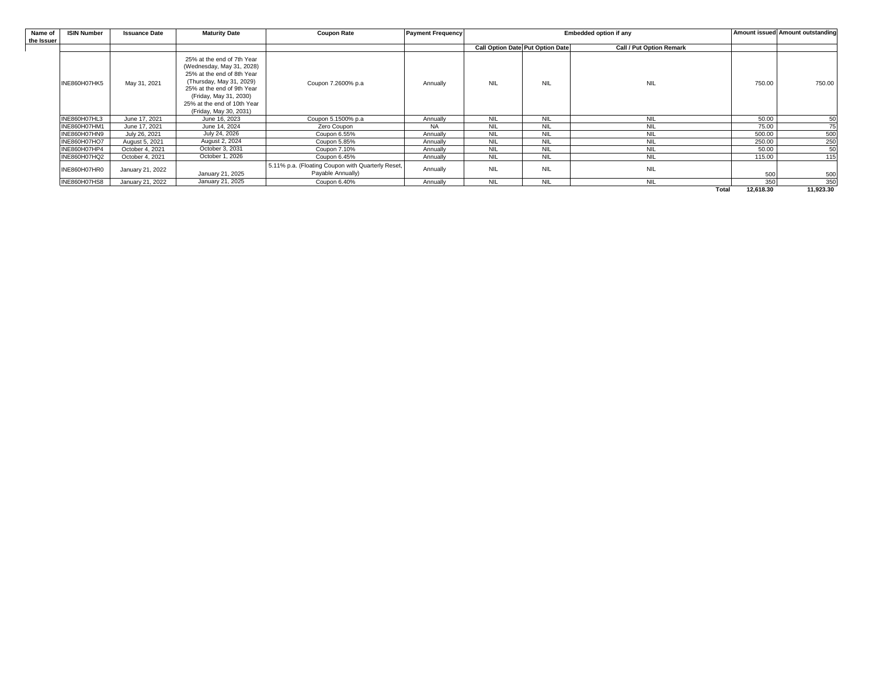| Name of    | <b>ISIN Number</b> | <b>Issuance Date</b> | <b>Maturity Date</b>                                                                                                                                                                                                               | <b>Coupon Rate</b>                                                     | <b>Payment Frequency</b> | Embedded option if any |                                         |                                 | Amount issued Amount outstanding |           |
|------------|--------------------|----------------------|------------------------------------------------------------------------------------------------------------------------------------------------------------------------------------------------------------------------------------|------------------------------------------------------------------------|--------------------------|------------------------|-----------------------------------------|---------------------------------|----------------------------------|-----------|
| the Issuer |                    |                      |                                                                                                                                                                                                                                    |                                                                        |                          |                        |                                         |                                 |                                  |           |
|            |                    |                      |                                                                                                                                                                                                                                    |                                                                        |                          |                        | <b>Call Option Date Put Option Date</b> | <b>Call / Put Option Remark</b> |                                  |           |
|            | INE860H07HK5       | May 31, 2021         | 25% at the end of 7th Year<br>(Wednesday, May 31, 2028)<br>25% at the end of 8th Year<br>(Thursday, May 31, 2029)<br>25% at the end of 9th Year<br>(Friday, May 31, 2030)<br>25% at the end of 10th Year<br>(Friday, May 30, 2031) | Coupon 7.2600% p.a                                                     | Annually                 | <b>NIL</b>             | <b>NIL</b>                              | <b>NIL</b>                      | 750.00                           | 750.00    |
|            | INE860H07HL3       | June 17, 2021        | June 16, 2023                                                                                                                                                                                                                      | Coupon 5.1500% p.a                                                     | Annually                 | <b>NIL</b>             | <b>NIL</b>                              | <b>NIL</b>                      | 50.00                            | 50        |
|            | INE860H07HM1       | June 17, 2021        | June 14, 2024                                                                                                                                                                                                                      | Zero Coupon                                                            | <b>NA</b>                | <b>NIL</b>             | <b>NIL</b>                              | <b>NIL</b>                      | 75.00                            | 75        |
|            | INE860H07HN9       | July 26, 2021        | July 24, 2026                                                                                                                                                                                                                      | Coupon 6.55%                                                           | Annually                 | <b>NIL</b>             | NIL                                     | <b>NIL</b>                      | 500.00                           | 500       |
|            | INE860H07HO7       | August 5, 2021       | August 2, 2024                                                                                                                                                                                                                     | Coupon 5.85%                                                           | Annually                 | <b>NIL</b>             | <b>NIL</b>                              | <b>NIL</b>                      | 250.00                           | 250       |
|            | INE860H07HP4       | October 4, 2021      | October 3, 2031                                                                                                                                                                                                                    | Coupon 7.10%                                                           | Annually                 | <b>NIL</b>             | <b>NIL</b>                              | <b>NIL</b>                      | 50.00                            | 50        |
|            | INE860H07HQ2       | October 4, 2021      | October 1, 2026                                                                                                                                                                                                                    | Coupon 6.45%                                                           | Annually                 | <b>NIL</b>             | <b>NIL</b>                              | <b>NIL</b>                      | 115.00                           | 115       |
|            | INE860H07HR0       | January 21, 2022     | January 21, 2025                                                                                                                                                                                                                   | 5.11% p.a. (Floating Coupon with Quarterly Reset,<br>Payable Annually) | Annually                 | <b>NIL</b>             | <b>NIL</b>                              | <b>NIL</b>                      | 500                              | 500       |
|            | INE860H07HS8       | January 21, 2022     | January 21, 2025                                                                                                                                                                                                                   | Coupon 6.40%                                                           | Annually                 | <b>NIL</b>             | <b>NIL</b>                              | <b>NIL</b>                      | 350                              | 350       |
|            |                    |                      |                                                                                                                                                                                                                                    |                                                                        |                          |                        |                                         | <b>Total</b>                    | 12,618.30                        | 11,923.30 |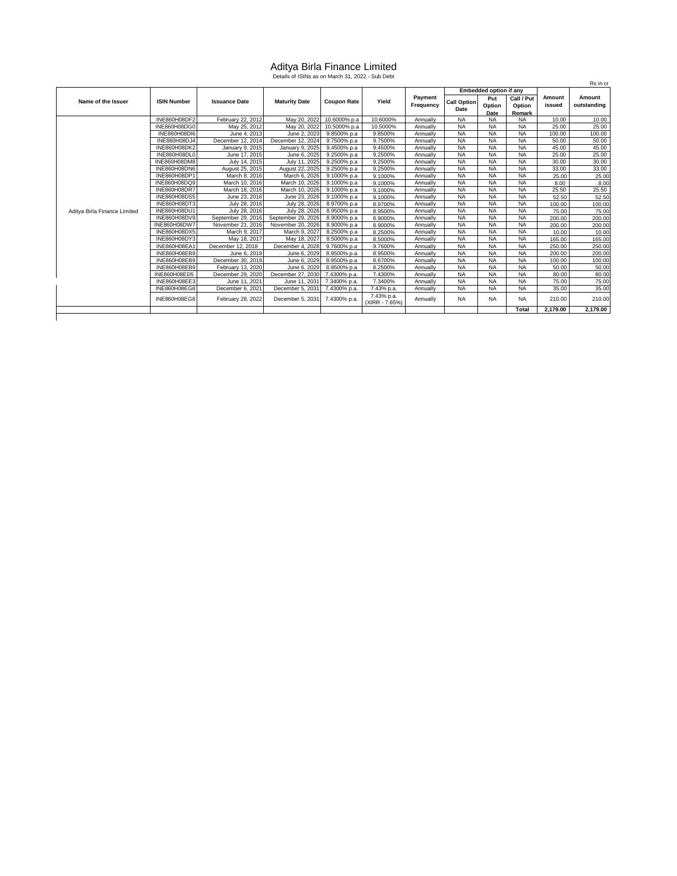# Aditya Birla Finance Limited Details of ISINs as on March 31, 2022 - Sub Debt

|                              |                     |                      |                      |                    |                              |                      |                            |                        |                                |                  | Rs in cr              |
|------------------------------|---------------------|----------------------|----------------------|--------------------|------------------------------|----------------------|----------------------------|------------------------|--------------------------------|------------------|-----------------------|
|                              |                     |                      |                      |                    |                              | Payment<br>Frequency |                            | Embedded option if any |                                |                  |                       |
| Name of the Issuer           | <b>ISIN Number</b>  | <b>Issuance Date</b> | <b>Maturity Date</b> | <b>Coupon Rate</b> | Yield                        |                      | <b>Call Option</b><br>Date | Put<br>Option<br>Date  | Call / Put<br>Option<br>Remark | Amount<br>issued | Amount<br>outstanding |
|                              | INE860H08DF2        | February 22, 2012    | May 20, 2022         | 10.6000% p.a       | 10.6000%                     | Annually             | <b>NA</b>                  | <b>NA</b>              | <b>NA</b>                      | 10.00            | 10.00                 |
|                              | INE860H08DG0        | May 25, 2012         | May 20, 2022         | 10.5000% p.a       | 10.5000%                     | Annually             | <b>NA</b>                  | <b>NA</b>              | <b>NA</b>                      | 25.00            | 25.00                 |
|                              | <b>INE860H08DI6</b> | June 4, 2013         | June 2, 2023         | 9.8500% p.a        | 9.8500%                      | Annually             | <b>NA</b>                  | <b>NA</b>              | <b>NA</b>                      | 100.00           | 100.00                |
|                              | INE860H08DJ4        | December 12, 2014    | December 12, 2024    | 9.7500% p.a        | 9.7500%                      | Annually             | <b>NA</b>                  | <b>NA</b>              | <b>NA</b>                      | 50.00            | 50.00                 |
|                              | <b>INE860H08DK2</b> | January 9, 2015      | January 9, 2025      | 9.4500% p.a        | 9.4500%                      | Annually             | <b>NA</b>                  | <b>NA</b>              | <b>NA</b>                      | 45.00            | 45.00                 |
|                              | INE860H08DL0        | June 17, 2015        | June 6, 2025         | 9.2500% p.a        | 9.2500%                      | Annually             | <b>NA</b>                  | <b>NA</b>              | <b>NA</b>                      | 25.00            | 25.00                 |
|                              | INE860H08DM8        | July 14, 2015        | July 11, 2025        | 9.2500% p.a        | 9.2500%                      | Annually             | <b>NA</b>                  | <b>NA</b>              | <b>NA</b>                      | 30.00            | 30.00                 |
|                              | INE860H08DN6        | August 25, 2015      | August 22, 2025      | 9.2500% p.a        | 9.2500%                      | Annually             | <b>NA</b>                  | <b>NA</b>              | <b>NA</b>                      | 33.00            | 33.00                 |
|                              | INE860H08DP1        | March 8, 2016        | March 6, 2026        | 9.1000% p.a        | 9.1000%                      | Annually             | <b>NA</b>                  | <b>NA</b>              | <b>NA</b>                      | 25.00            | 25.00                 |
|                              | INE860H08DQ9        | March 10, 2016       | March 10, 2026       | 9.1000% p.a        | 9.1000%                      | Annually             | <b>NA</b>                  | <b>NA</b>              | <b>NA</b>                      | 8.00             | 8.00                  |
|                              | <b>INE860H08DR7</b> | March 18, 2016       | March 10, 2026       | 9.1000% p.a        | 9.1000%                      | Annually             | <b>NA</b>                  | <b>NA</b>              | <b>NA</b>                      | 25.50            | 25.50                 |
|                              | INE860H08DS5        | June 23, 2016        | June 23, 2026        | 9.1000% p.a        | 9.1000%                      | Annually             | <b>NA</b>                  | <b>NA</b>              | <b>NA</b>                      | 52.50            | 52.50                 |
|                              | INE860H08DT3        | July 28, 2016        | July 28, 2026        | 8.9700% p.a        | 8.9700%                      | Annually             | <b>NA</b>                  | <b>NA</b>              | <b>NA</b>                      | 100.00           | 100.00                |
| Aditya Birla Finance Limited | <b>INE860H08DU1</b> | July 28, 2016        | July 28, 2026        | 8.9500% p.a        | 8.9500%                      | Annually             | <b>NA</b>                  | <b>NA</b>              | <b>NA</b>                      | 75.00            | 75.00                 |
|                              | INE860H08DV9        | September 29, 2016   | September 29, 2026   | 8.9000% p.a        | 8.9000%                      | Annually             | <b>NA</b>                  | <b>NA</b>              | <b>NA</b>                      | 200.00           | 200.00                |
|                              | INE860H08DW7        | November 21, 2016    | November 20, 2026    | 8.9000% p.a        | 8.9000%                      | Annually             | <b>NA</b>                  | <b>NA</b>              | <b>NA</b>                      | 200.00           | 200.00                |
|                              | INE860H08DX5        | March 9, 2017        | March 9, 2027        | 8.2500% p.a        | 8.2500%                      | Annually             | <b>NA</b>                  | <b>NA</b>              | <b>NA</b>                      | 10.00            | 10.00                 |
|                              | INE860H08DY3        | May 18, 2017         | May 18, 2027         | 8.5000% p.a        | 8.5000%                      | Annually             | <b>NA</b>                  | <b>NA</b>              | <b>NA</b>                      | 165.00           | 165.00                |
|                              | INE860H08EA1        | December 12, 2018    | December 4, 2028     | 9.7600% p.a        | 9.7600%                      | Annually             | <b>NA</b>                  | <b>NA</b>              | <b>NA</b>                      | 250.00           | 250.00                |
|                              | INE860H08EB9        | June 6, 2019         | June 6, 2029         | 8.9500% p.a        | 8.9500%                      | Annually             | <b>NA</b>                  | <b>NA</b>              | <b>NA</b>                      | 200.00           | 200.00                |
|                              | INE860H08EB9        | December 30, 2019    | June 6, 2029         | 8.9500% p.a        | 8.6700%                      | Annually             | <b>NA</b>                  | <b>NA</b>              | <b>NA</b>                      | 100.00           | 100.00                |
|                              | INE860H08EB9        | February 13, 2020    | June 6, 2029         | 8.9500% p.a        | 8.2500%                      | Annually             | <b>NA</b>                  | <b>NA</b>              | <b>NA</b>                      | 50.00            | 50.00                 |
|                              | INE860H08ED5        | December 29, 2020    | December 27, 2030    | 7.4300% p.a.       | 7.4300%                      | Annually             | <b>NA</b>                  | <b>NA</b>              | <b>NA</b>                      | 80.00            | 80.00                 |
|                              | INE860H08EE3        | June 11, 2021        | June 11, 2031        | 7.3400% p.a.       | 7.3400%                      | Annually             | <b>NA</b>                  | <b>NA</b>              | <b>NA</b>                      | 75.00            | 75.00                 |
|                              | INE860H08EG8        | December 6, 2021     | December 5, 2031     | 7.4300% p.a.       | 7.43% p.a.                   | Annually             | <b>NA</b>                  | <b>NA</b>              | <b>NA</b>                      | 35.00            | 35.00                 |
|                              | INE860H08EG8        | February 28, 2022    | December 5, 2031     | 7.4300% p.a.       | 7.43% p.a.<br>(XIRR - 7.65%) | Annually             | <b>NA</b>                  | <b>NA</b>              | <b>NA</b>                      | 210.00           | 210.00                |
|                              |                     |                      |                      |                    |                              |                      |                            |                        | Total                          | 2,179.00         | 2,179.00              |
|                              |                     |                      |                      |                    |                              |                      |                            |                        |                                |                  |                       |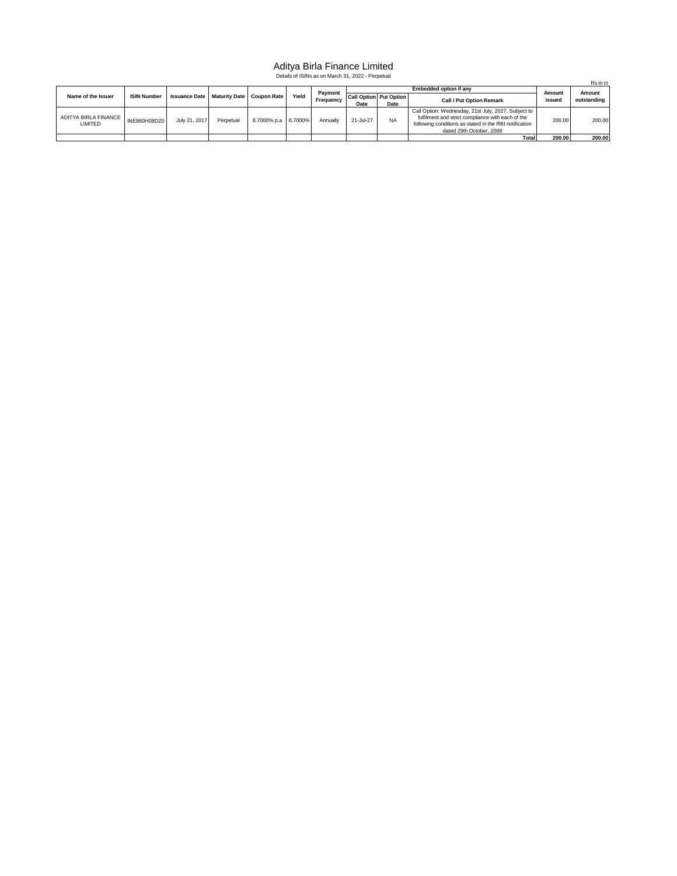## Aditya Birla Finance Limited Details of ISINs as on March 31, 2022 - Perpetual

| Details of ISINS as on March 31, 2022 - Perpetual<br>Rs in cr |                    |               |           |                                             |       |                      |           |                               |                                                        |        |             |  |
|---------------------------------------------------------------|--------------------|---------------|-----------|---------------------------------------------|-------|----------------------|-----------|-------------------------------|--------------------------------------------------------|--------|-------------|--|
|                                                               |                    |               |           |                                             |       |                      |           |                               |                                                        |        |             |  |
|                                                               | <b>ISIN Number</b> |               |           |                                             | Yield | Payment<br>Frequency |           |                               | Amount                                                 | Amount |             |  |
| Name of the Issuer                                            |                    |               |           | Issuance Date   Maturity Date   Coupon Rate |       |                      |           | <b>Call Option Put Option</b> | <b>Call / Put Option Remark</b>                        | issued | outstanding |  |
|                                                               |                    |               |           |                                             |       |                      | Date      | Date                          |                                                        |        |             |  |
|                                                               |                    |               |           |                                             |       |                      |           |                               | Call Option: Wednesday, 21st July, 2027, Subject to    |        |             |  |
| ADITYA BIRLA FINANCE                                          | INE860H08DZ0       | July 21, 2017 | Perpetual | 8.7000% p.a 8.7000%                         |       | Annually             | 21-Jul-27 | <b>NA</b>                     | fulfilment and strict compliance with each of the      | 200.00 | 200.00      |  |
| LIMITED                                                       |                    |               |           |                                             |       |                      |           |                               | following conditions as stated in the RBI notification |        |             |  |
|                                                               |                    |               |           |                                             |       |                      |           |                               | dated 29th October, 2008                               |        |             |  |
|                                                               |                    |               |           |                                             |       |                      |           |                               | Total                                                  | 200.00 | 200.00      |  |